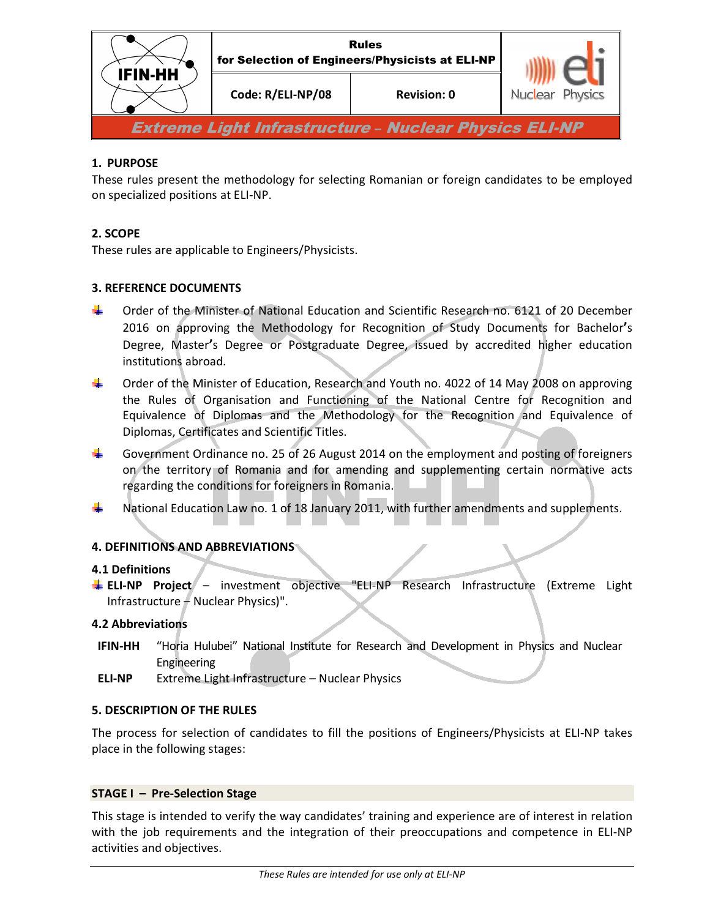

# **1. PURPOSE**

These rules present the methodology for selecting Romanian or foreign candidates to be employed on specialized positions at ELI-NP.

## **2. SCOPE**

These rules are applicable to Engineers/Physicists.

## **3. REFERENCE DOCUMENTS**

- Order of the Minister of National Education and Scientific Research no. 6121 of 20 December 2016 on approving the Methodology for Recognition of Study Documents for Bachelor**'**s Degree, Master**'**s Degree or Postgraduate Degree, issued by accredited higher education institutions abroad.
- ۰. Order of the Minister of Education, Research and Youth no. 4022 of 14 May 2008 on approving the Rules of Organisation and Functioning of the National Centre for Recognition and Equivalence of Diplomas and the Methodology for the Recognition and Equivalence of Diplomas, Certificates and Scientific Titles.
- ۰. Government Ordinance no. 25 of 26 August 2014 on the employment and posting of foreigners on the territory of Romania and for amending and supplementing certain normative acts regarding the conditions for foreigners in Romania.
- ۳. National Education Law no. 1 of 18 January 2011, with further amendments and supplements.

## **4. DEFINITIONS AND ABBREVIATIONS**

### **4.1 Definitions**

**ELI-NP Project** – investment objective "ELI-NP Research Infrastructure (Extreme Light Infrastructure – Nuclear Physics)".

### **4.2 Abbreviations**

- **IFIN-HH** "Horia Hulubei" National Institute for Research and Development in Physics and Nuclear Engineering
- **ELI-NP** Extreme Light Infrastructure Nuclear Physics

## **5. DESCRIPTION OF THE RULES**

The process for selection of candidates to fill the positions of Engineers/Physicists at ELI-NP takes place in the following stages:

### **STAGE I – Pre-Selection Stage**

This stage is intended to verify the way candidates' training and experience are of interest in relation with the job requirements and the integration of their preoccupations and competence in ELI-NP activities and objectives.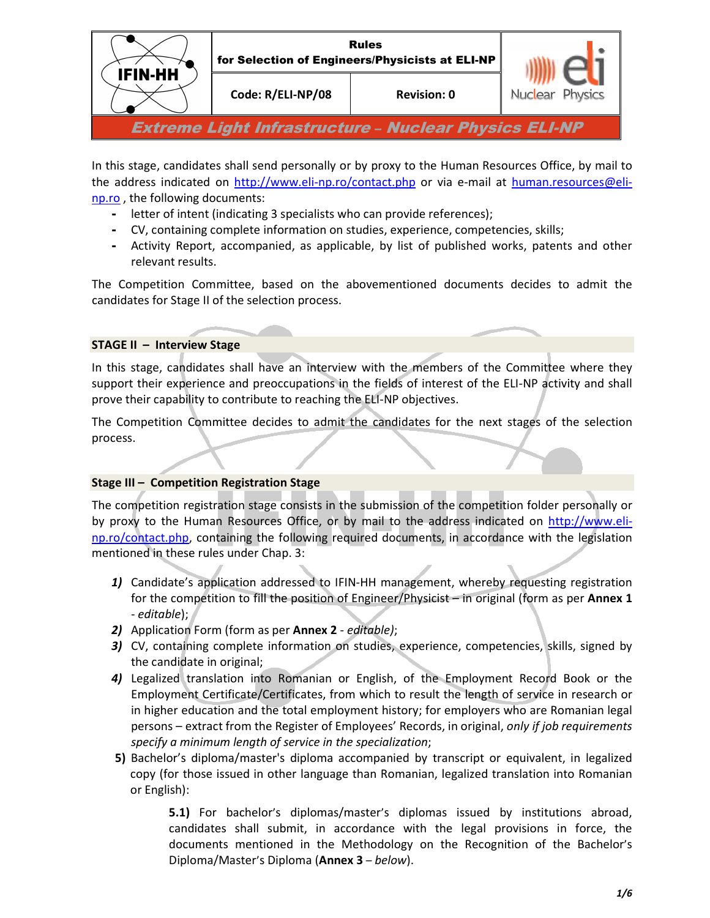

In this stage, candidates shall send personally or by proxy to the Human Resources Office, by mail to the address indicated on http://www.eli-np.ro/contact.php or via e-mail at human.resources@elinp.ro , the following documents:

- letter of intent (indicating 3 specialists who can provide references);
- CV, containing complete information on studies, experience, competencies, skills;
- Activity Report, accompanied, as applicable, by list of published works, patents and other relevant results.

The Competition Committee, based on the abovementioned documents decides to admit the candidates for Stage II of the selection process.

## **STAGE II – Interview Stage**

In this stage, candidates shall have an interview with the members of the Committee where they support their experience and preoccupations in the fields of interest of the ELI-NP activity and shall prove their capability to contribute to reaching the ELI-NP objectives.

The Competition Committee decides to admit the candidates for the next stages of the selection process.

## **Stage III – Competition Registration Stage**

The competition registration stage consists in the submission of the competition folder personally or by proxy to the Human Resources Office, or by mail to the address indicated on http://www.elinp.ro/contact.php, containing the following required documents, in accordance with the legislation mentioned in these rules under Chap. 3:

- *1)* Candidate's application addressed to IFIN-HH management, whereby requesting registration for the competition to fill the position of Engineer/Physicist – in original (form as per **Annex 1** - *editable*);
- *2)* Application Form (form as per **Annex 2** *editable)*;
- *3)* CV, containing complete information on studies, experience, competencies, skills, signed by the candidate in original;
- *4)* Legalized translation into Romanian or English, of the Employment Record Book or the Employment Certificate/Certificates, from which to result the length of service in research or in higher education and the total employment history; for employers who are Romanian legal persons – extract from the Register of Employees' Records, in original, *only if job requirements specify a minimum length of service in the specialization*;
- **5)** Bachelor's diploma/master's diploma accompanied by transcript or equivalent, in legalized copy (for those issued in other language than Romanian, legalized translation into Romanian or English):

**5.1)** For bachelor's diplomas/master's diplomas issued by institutions abroad, candidates shall submit, in accordance with the legal provisions in force, the documents mentioned in the Methodology on the Recognition of the Bachelor's Diploma/Master's Diploma (**Annex 3** – *below*).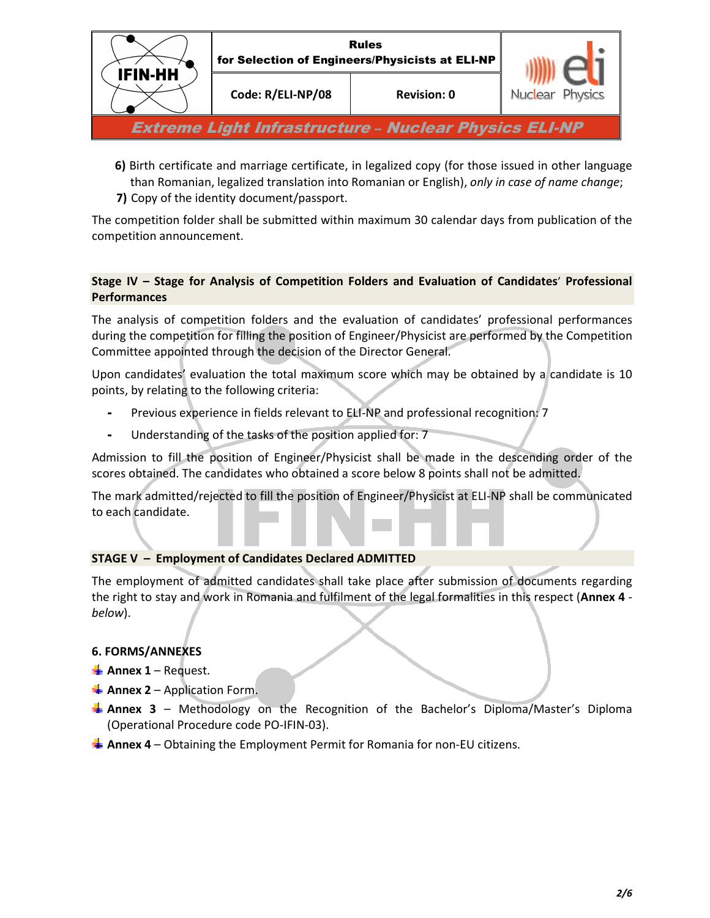

- **6)** Birth certificate and marriage certificate, in legalized copy (for those issued in other language than Romanian, legalized translation into Romanian or English), *only in case of name change*;
- **7)** Copy of the identity document/passport.

The competition folder shall be submitted within maximum 30 calendar days from publication of the competition announcement.

# **Stage IV – Stage for Analysis of Competition Folders and Evaluation of Candidates**' **Professional Performances**

The analysis of competition folders and the evaluation of candidates' professional performances during the competition for filling the position of Engineer/Physicist are performed by the Competition Committee appointed through the decision of the Director General.

Upon candidates' evaluation the total maximum score which may be obtained by a candidate is 10 points, by relating to the following criteria:

- Previous experience in fields relevant to ELI-NP and professional recognition: 7
- Understanding of the tasks of the position applied for: 7

Admission to fill the position of Engineer/Physicist shall be made in the descending order of the scores obtained. The candidates who obtained a score below 8 points shall not be admitted.

The mark admitted/rejected to fill the position of Engineer/Physicist at ELI-NP shall be communicated to each candidate.

## **STAGE V – Employment of Candidates Declared ADMITTED**

The employment of admitted candidates shall take place after submission of documents regarding the right to stay and work in Romania and fulfilment of the legal formalities in this respect (**Annex 4**  *below*).

# **6. FORMS/ANNEXES**

- $\frac{1}{2}$  **Annex 1** Request.
- $\frac{1}{2}$  **Annex 2** Application Form.
- **Annex 3** Methodology on the Recognition of the Bachelor's Diploma/Master's Diploma (Operational Procedure code PO-IFIN-03).
- **Annex 4** Obtaining the Employment Permit for Romania for non-EU citizens.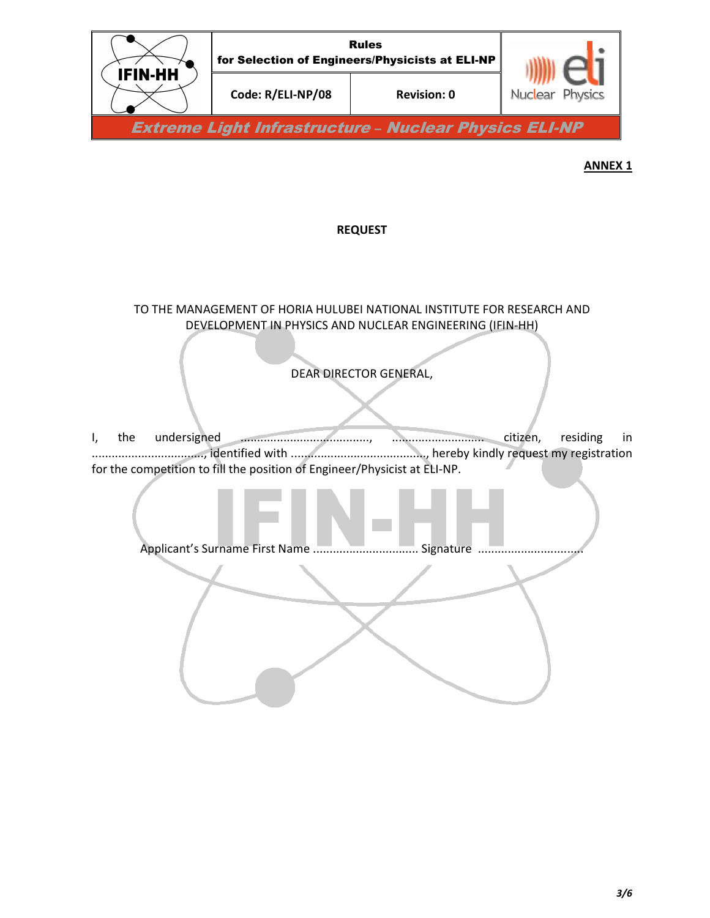

### **REQUEST**

TO THE MANAGEMENT OF HORIA HULUBEI NATIONAL INSTITUTE FOR RESEARCH AND DEVELOPMENT IN PHYSICS AND NUCLEAR ENGINEERING (IFIN-HH)

DEAR DIRECTOR GENERAL,

Ì

l I, the undersigned ......................................., ............................ citizen, residing in .................................., identified with ........................................., hereby kindly request my registration for the competition to fill the position of Engineer/Physicist at ELI-NP.

Applicant's Surname First Name ................................ Signature ................................

I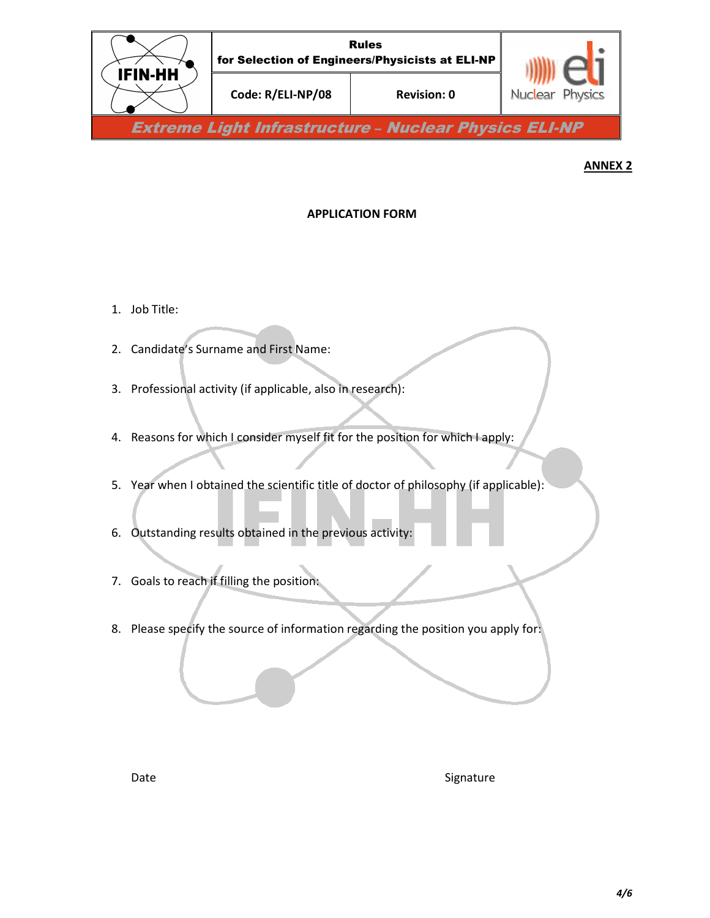

## **APPLICATION FORM**

- 1. Job Title:
- 2. Candidate's Surname and First Name:
- 3. Professional activity (if applicable, also in research):
- 4. Reasons for which I consider myself fit for the position for which I apply:
- 5. Year when I obtained the scientific title of doctor of philosophy (if applicable):
- 6. Outstanding results obtained in the previous activity:
- 7. Goals to reach if filling the position:
- 8. Please specify the source of information regarding the position you apply for:

Date Signature Signature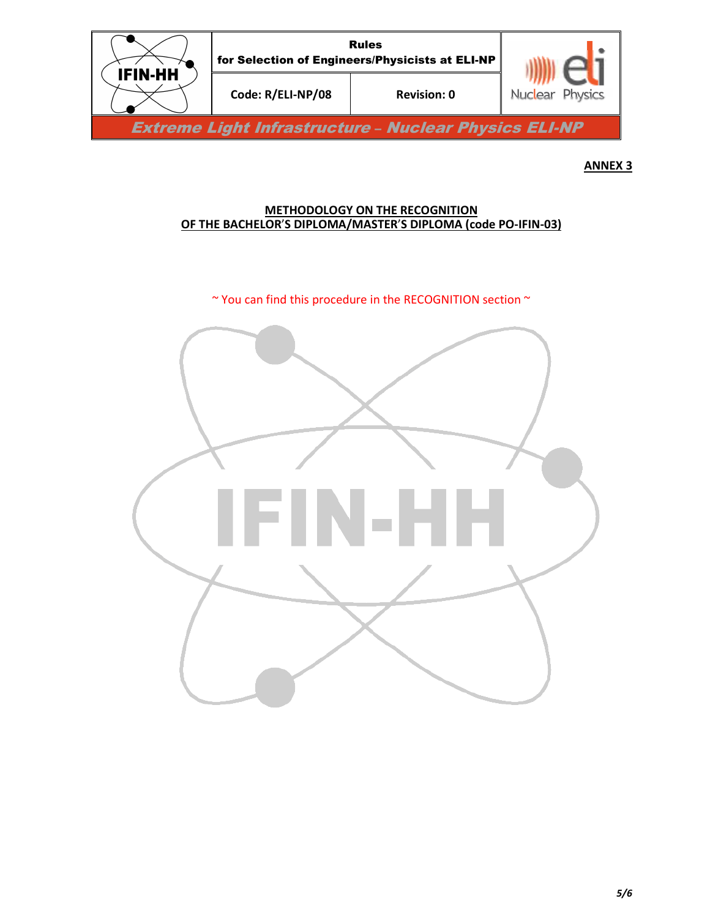

## **METHODOLOGY ON THE RECOGNITION OF THE BACHELOR**'**S DIPLOMA/MASTER**'**S DIPLOMA (code PO-IFIN-03)**

 $\sim$  You can find this procedure in the RECOGNITION section  $\sim$